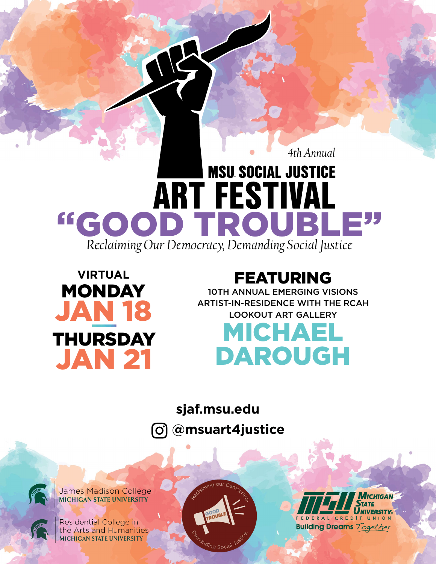## *4th Annual* **MSU SOCIAL JUSTICE ART FESTIVAL** "GOOD TROUBLI *Reclaiming Our Democracy, Demanding Social Justice*



## FEATURING

10TH ANNUAL EMERGING VISIONS ARTIST-IN-RESIDENCE WITH THE RCAH LOOKOUT ART GALLERY

# MICHAEL DAROUGH

**[sjaf.msu.edu](http://sjaf.msu.edu )** 

**@msuart4justice** [၀]



James Madison College<br>MICHIGAN STATE UNIVERSITY

Residential College in the Arts and Humanities **MICHIGAN STATE UNIVERSITY** 



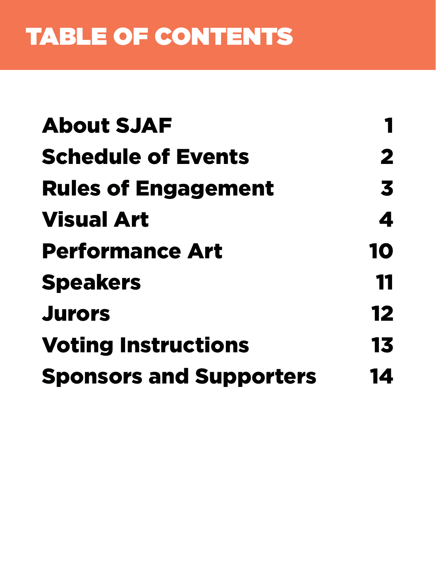# TABLE OF CONTENTS

| <b>About SJAF</b>              |    |
|--------------------------------|----|
| <b>Schedule of Events</b>      | 2  |
| <b>Rules of Engagement</b>     | 3  |
| <b>Visual Art</b>              | 4  |
| <b>Performance Art</b>         | 10 |
| <b>Speakers</b>                | 11 |
| <b>Jurors</b>                  | 12 |
| <b>Voting Instructions</b>     | 13 |
| <b>Sponsors and Supporters</b> | 14 |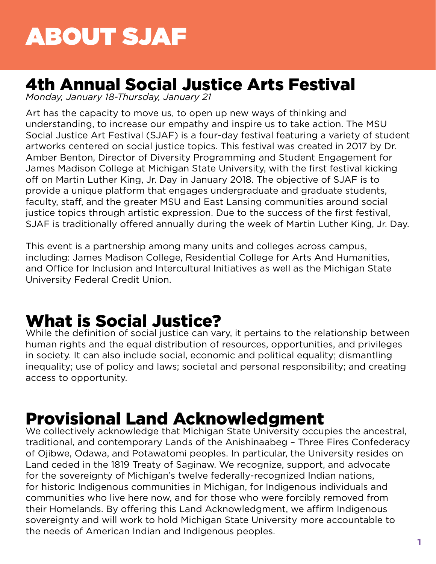# <span id="page-2-0"></span>ABOUT SJAF

## 4th Annual Social Justice Arts Festival

*Monday, January 18-Thursday, January 21*

Art has the capacity to move us, to open up new ways of thinking and understanding, to increase our empathy and inspire us to take action. The MSU Social Justice Art Festival (SJAF) is a four-day festival featuring a variety of student artworks centered on social justice topics. This festival was created in 2017 by Dr. Amber Benton, Director of Diversity Programming and Student Engagement for James Madison College at Michigan State University, with the first festival kicking off on Martin Luther King, Jr. Day in January 2018. The objective of SJAF is to provide a unique platform that engages undergraduate and graduate students, faculty, staff, and the greater MSU and East Lansing communities around social justice topics through artistic expression. Due to the success of the first festival, SJAF is traditionally offered annually during the week of Martin Luther King, Jr. Day.

This event is a partnership among many units and colleges across campus, including: James Madison College, Residential College for Arts And Humanities, and Office for Inclusion and Intercultural Initiatives as well as the Michigan State University Federal Credit Union.

## What is Social Justice?

While the definition of social justice can vary, it pertains to the relationship between human rights and the equal distribution of resources, opportunities, and privileges in society. It can also include social, economic and political equality; dismantling inequality; use of policy and laws; societal and personal responsibility; and creating access to opportunity.

## Provisional Land Acknowledgment

We collectively acknowledge that Michigan State University occupies the ancestral, traditional, and contemporary Lands of the Anishinaabeg – Three Fires Confederacy of Ojibwe, Odawa, and Potawatomi peoples. In particular, the University resides on Land ceded in the 1819 Treaty of Saginaw. We recognize, support, and advocate for the sovereignty of Michigan's twelve federally-recognized Indian nations, for historic Indigenous communities in Michigan, for Indigenous individuals and communities who live here now, and for those who were forcibly removed from their Homelands. By offering this Land Acknowledgment, we affirm Indigenous sovereignty and will work to hold Michigan State University more accountable to the needs of American Indian and Indigenous peoples.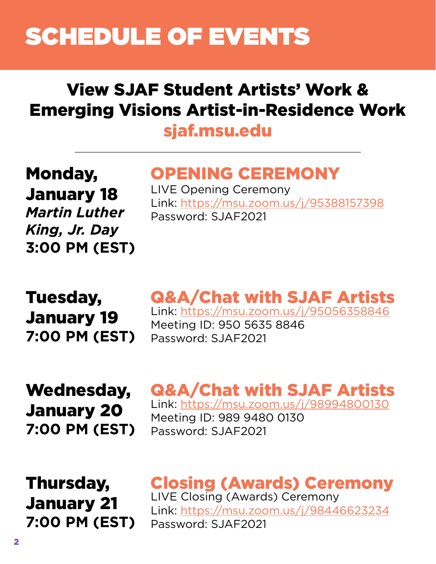# <span id="page-3-0"></span>SCHEDULE OF EVENTS

## View SJAF Student Artists' Work & Emerging Visions Artist-in-Residence Work

## [sjaf.msu.edu](http://sjaf.msu.edu)

Monday, January 18 *Martin Luther King, Jr. Day* **3:00 PM (EST)**

## OPENING CEREMONY

LIVE Opening Ceremony Link: <https://msu.zoom.us/j/95388157398> Password: SJAF2021

Tuesday, January 19 **7:00 PM (EST)**

## Q&A/Chat with SJAF Artists Link: <https://msu.zoom.us/j/95056358846>

Meeting ID: 950 5635 8846 Password: SJAF2021

Wednesday, January 20 **7:00 PM (EST)**

## Q&A/Chat with SJAF Artists Link: [https://msu.zoom.us/j/98994800130](https://msu.zoom.us/j/98994800130 )

Meeting ID: 989 9480 0130 Password: SJAF2021

Thursday, January 21 **7:00 PM (EST)**

Closing (Awards) Ceremony LIVE Closing (Awards) Ceremony Link: <https://msu.zoom.us/j/98446623234> Password: SJAF2021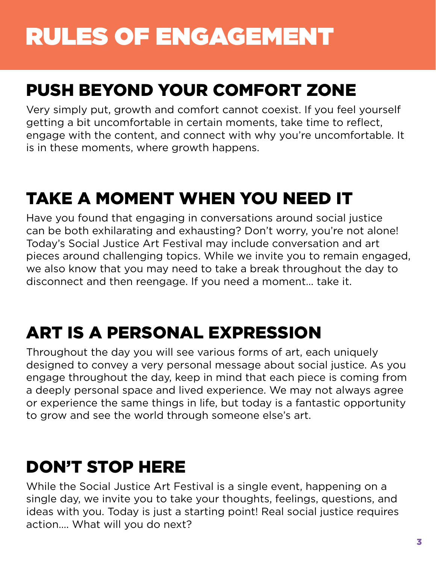# <span id="page-4-0"></span>RULES OF ENGAGEMENT

## PUSH BEYOND YOUR COMFORT ZONE

Very simply put, growth and comfort cannot coexist. If you feel yourself getting a bit uncomfortable in certain moments, take time to reflect, engage with the content, and connect with why you're uncomfortable. It is in these moments, where growth happens.

## TAKE A MOMENT WHEN YOU NEED IT

Have you found that engaging in conversations around social justice can be both exhilarating and exhausting? Don't worry, you're not alone! Today's Social Justice Art Festival may include conversation and art pieces around challenging topics. While we invite you to remain engaged, we also know that you may need to take a break throughout the day to disconnect and then reengage. If you need a moment… take it.

## ART IS A PERSONAL EXPRESSION

Throughout the day you will see various forms of art, each uniquely designed to convey a very personal message about social justice. As you engage throughout the day, keep in mind that each piece is coming from a deeply personal space and lived experience. We may not always agree or experience the same things in life, but today is a fantastic opportunity to grow and see the world through someone else's art.

## DON'T STOP HERE

While the Social Justice Art Festival is a single event, happening on a single day, we invite you to take your thoughts, feelings, questions, and ideas with you. Today is just a starting point! Real social justice requires action…. What will you do next?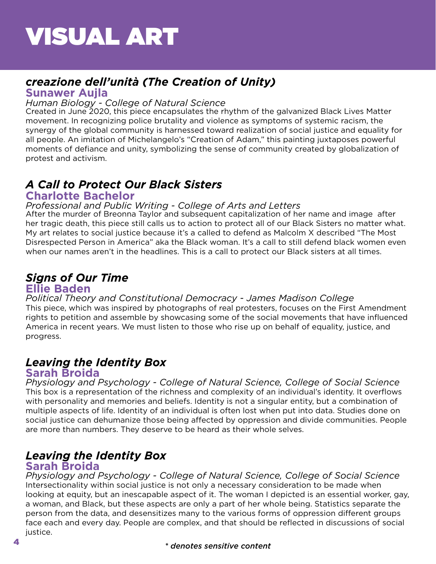## <span id="page-5-0"></span>*creazione dell'unità (The Creation of Unity)*

### **Sunawer Aujla**

#### *Human Biology - College of Natural Science*

Created in June 2020, this piece encapsulates the rhythm of the galvanized Black Lives Matter movement. In recognizing police brutality and violence as symptoms of systemic racism, the synergy of the global community is harnessed toward realization of social justice and equality for all people. An imitation of Michelangelo's "Creation of Adam," this painting juxtaposes powerful moments of defiance and unity, symbolizing the sense of community created by globalization of protest and activism.

## *A Call to Protect Our Black Sisters*

### **Charlotte Bachelor**

#### *Professional and Public Writing - College of Arts and Letters*

After the murder of Breonna Taylor and subsequent capitalization of her name and image after her tragic death, this piece still calls us to action to protect all of our Black Sisters no matter what. My art relates to social justice because it's a called to defend as Malcolm X described "The Most Disrespected Person in America" aka the Black woman. It's a call to still defend black women even when our names aren't in the headlines. This is a call to protect our Black sisters at all times.

## *Signs of Our Time* **Ellie Baden**

### *Political Theory and Constitutional Democracy - James Madison College*

This piece, which was inspired by photographs of real protesters, focuses on the First Amendment rights to petition and assemble by showcasing some of the social movements that have influenced America in recent years. We must listen to those who rise up on behalf of equality, justice, and progress.

## *Leaving the Identity Box*

### **Sarah Broida**

This box is a representation of the richness and complexity of an individual's identity. It overflows with personality and memories and beliefs. Identity is not a singular entity, but a combination of multiple aspects of life. Identity of an individual is often lost when put into data. Studies done on social justice can dehumanize those being affected by oppression and divide communities. People are more than numbers. They deserve to be heard as their whole selves. *Physiology and Psychology - College of Natural Science, College of Social Science*

## *Leaving the Identity Box*

### **Sarah Broida**

Intersectionality within social justice is not only a necessary consideration to be made when looking at equity, but an inescapable aspect of it. The woman I depicted is an essential worker, gay, a woman, and Black, but these aspects are only a part of her whole being. Statistics separate the person from the data, and desensitizes many to the various forms of oppression different groups face each and every day. People are complex, and that should be reflected in discussions of social justice. *Physiology and Psychology - College of Natural Science, College of Social Science*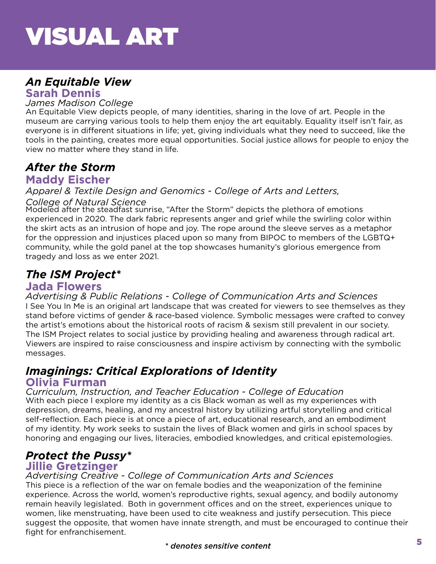## *An Equitable View*

**Sarah Dennis**

#### *James Madison College*

An Equitable View depicts people, of many identities, sharing in the love of art. People in the museum are carrying various tools to help them enjoy the art equitably. Equality itself isn't fair, as everyone is in different situations in life; yet, giving individuals what they need to succeed, like the tools in the painting, creates more equal opportunities. Social justice allows for people to enjoy the view no matter where they stand in life.

### *After the Storm* **Maddy Eischer**

*Apparel & Textile Design and Genomics - College of Arts and Letters, College of Natural Science*

Modeled after the steadfast sunrise, "After the Storm" depicts the plethora of emotions experienced in 2020. The dark fabric represents anger and grief while the swirling color within the skirt acts as an intrusion of hope and joy. The rope around the sleeve serves as a metaphor for the oppression and injustices placed upon so many from BIPOC to members of the LGBTQ+ community, while the gold panel at the top showcases humanity's glorious emergence from tragedy and loss as we enter 2021.

## *The ISM Project\**

### **Jada Flowers**

I See You In Me is an original art landscape that was created for viewers to see themselves as they stand before victims of gender & race-based violence. Symbolic messages were crafted to convey the artist's emotions about the historical roots of racism & sexism still prevalent in our society. The ISM Project relates to social justice by providing healing and awareness through radical art. Viewers are inspired to raise consciousness and inspire activism by connecting with the symbolic messages. *Advertising & Public Relations - College of Communication Arts and Sciences*

#### *Imaginings: Critical Explorations of Identity* **Olivia Furman**

With each piece I explore my identity as a cis Black woman as well as my experiences with depression, dreams, healing, and my ancestral history by utilizing artful storytelling and critical self-reflection. Each piece is at once a piece of art, educational research, and an embodiment of my identity. My work seeks to sustain the lives of Black women and girls in school spaces by honoring and engaging our lives, literacies, embodied knowledges, and critical epistemologies. *Curriculum, Instruction, and Teacher Education - College of Education*

## *Protect the Pussy\**

### **Jillie Gretzinger**

### *Advertising Creative - College of Communication Arts and Sciences*

This piece is a reflection of the war on female bodies and the weaponization of the feminine experience. Across the world, women's reproductive rights, sexual agency, and bodily autonomy remain heavily legislated. Both in government offices and on the street, experiences unique to women, like menstruating, have been used to cite weakness and justify persecution. This piece suggest the opposite, that women have innate strength, and must be encouraged to continue their fight for enfranchisement.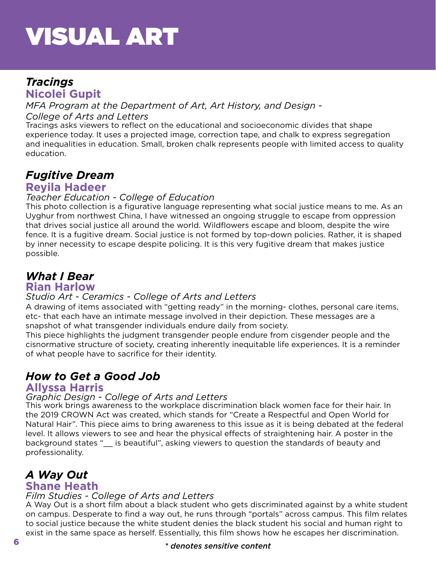## *Tracings* **Nicolei Gupit**

*MFA Program at the Department of Art, Art History, and Design -* 

#### *College of Arts and Letters*

Tracings asks viewers to reflect on the educational and socioeconomic divides that shape experience today. It uses a projected image, correction tape, and chalk to express segregation and inequalities in education. Small, broken chalk represents people with limited access to quality education.

## *Fugitive Dream*

### **Reyila Hadeer**

#### *Teacher Education - College of Education*

This photo collection is a figurative language representing what social justice means to me. As an Uyghur from northwest China, I have witnessed an ongoing struggle to escape from oppression that drives social justice all around the world. Wildflowers escape and bloom, despite the wire fence. It is a fugitive dream. Social justice is not formed by top-down policies. Rather, it is shaped by inner necessity to escape despite policing. It is this very fugitive dream that makes justice possible.

#### *What I Bear* **Rian Harlow**

### *Studio Art - Ceramics - College of Arts and Letters*

A drawing of items associated with "getting ready" in the morning- clothes, personal care items, etc- that each have an intimate message involved in their depiction. These messages are a snapshot of what transgender individuals endure daily from society.

This piece highlights the judgment transgender people endure from cisgender people and the cisnormative structure of society, creating inherently inequitable life experiences. It is a reminder of what people have to sacrifice for their identity.

## *How to Get a Good Job*

#### **Allyssa Harris**

#### *Graphic Design - College of Arts and Letters*

This work brings awareness to the workplace discrimination black women face for their hair. In the 2019 CROWN Act was created, which stands for "Create a Respectful and Open World for Natural Hair". This piece aims to bring awareness to this issue as it is being debated at the federal level. It allows viewers to see and hear the physical effects of straightening hair. A poster in the background states "\_\_ is beautiful", asking viewers to question the standards of beauty and professionality.

## *A Way Out* **Shane Heath**

#### *Film Studies - College of Arts and Letters*

A Way Out is a short film about a black student who gets discriminated against by a white student on campus. Desperate to find a way out, he runs through "portals" across campus. This film relates to social justice because the white student denies the black student his social and human right to exist in the same space as herself. Essentially, this film shows how he escapes her discrimination.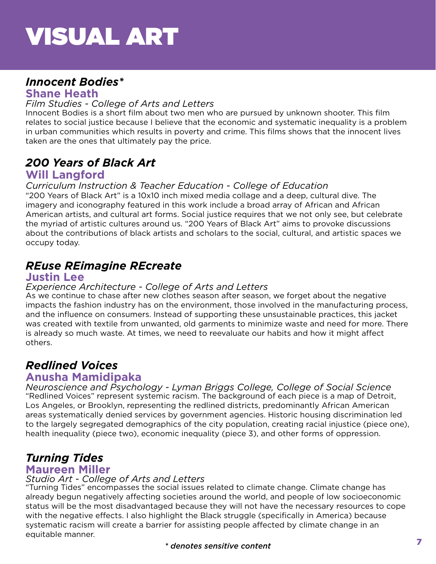## *Innocent Bodies\**

## **Shane Heath**

#### *Film Studies - College of Arts and Letters*

Innocent Bodies is a short film about two men who are pursued by unknown shooter. This film relates to social justice because I believe that the economic and systematic inequality is a problem in urban communities which results in poverty and crime. This films shows that the innocent lives taken are the ones that ultimately pay the price.

## *200 Years of Black Art*

### **Will Langford**

#### *Curriculum Instruction & Teacher Education - College of Education*

"200 Years of Black Art" is a 10x10 inch mixed media collage and a deep, cultural dive. The imagery and iconography featured in this work include a broad array of African and African American artists, and cultural art forms. Social justice requires that we not only see, but celebrate the myriad of artistic cultures around us. "200 Years of Black Art" aims to provoke discussions about the contributions of black artists and scholars to the social, cultural, and artistic spaces we occupy today.

## *REuse REimagine REcreate*

### **Justin Lee**

#### *Experience Architecture - College of Arts and Letters*

As we continue to chase after new clothes season after season, we forget about the negative impacts the fashion industry has on the environment, those involved in the manufacturing process, and the influence on consumers. Instead of supporting these unsustainable practices, this jacket was created with textile from unwanted, old garments to minimize waste and need for more. There is already so much waste. At times, we need to reevaluate our habits and how it might affect others.

## *Redlined Voices*

## **Anusha Mamidipaka**

"Redlined Voices" represent systemic racism. The background of each piece is a map of Detroit, Los Angeles, or Brooklyn, representing the redlined districts, predominantly African American areas systematically denied services by government agencies. Historic housing discrimination led to the largely segregated demographics of the city population, creating racial injustice (piece one), health inequality (piece two), economic inequality (piece 3), and other forms of oppression. *Neuroscience and Psychology - Lyman Briggs College, College of Social Science*

## *Turning Tides*

#### **Maureen Miller**

### *Studio Art - College of Arts and Letters*

"Turning Tides" encompasses the social issues related to climate change. Climate change has already begun negatively affecting societies around the world, and people of low socioeconomic status will be the most disadvantaged because they will not have the necessary resources to cope with the negative effects. I also highlight the Black struggle (specifically in America) because systematic racism will create a barrier for assisting people affected by climate change in an equitable manner.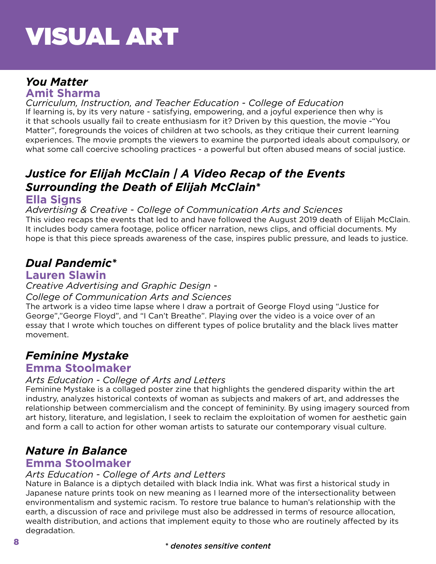## *You Matter*

**Amit Sharma**

If learning is, by its very nature - satisfying, empowering, and a joyful experience then why is it that schools usually fail to create enthusiasm for it? Driven by this question, the movie -"You Matter", foregrounds the voices of children at two schools, as they critique their current learning experiences. The movie prompts the viewers to examine the purported ideals about compulsory, or what some call coercive schooling practices - a powerful but often abused means of social justice. *Curriculum, Instruction, and Teacher Education - College of Education*

## *Justice for Elijah McClain | A Video Recap of the Events Surrounding the Death of Elijah McClain\**

## **Ella Signs**

This video recaps the events that led to and have followed the August 2019 death of Elijah McClain. It includes body camera footage, police officer narration, news clips, and official documents. My hope is that this piece spreads awareness of the case, inspires public pressure, and leads to justice. *Advertising & Creative - College of Communication Arts and Sciences*

## *Dual Pandemic\**

## **Lauren Slawin**

#### *Creative Advertising and Graphic Design -*

### *College of Communication Arts and Sciences*

The artwork is a video time lapse where I draw a portrait of George Floyd using "Justice for George","George Floyd", and "I Can't Breathe". Playing over the video is a voice over of an essay that I wrote which touches on different types of police brutality and the black lives matter movement.

## *Feminine Mystake*

## **Emma Stoolmaker**

### *Arts Education - College of Arts and Letters*

Feminine Mystake is a collaged poster zine that highlights the gendered disparity within the art industry, analyzes historical contexts of woman as subjects and makers of art, and addresses the relationship between commercialism and the concept of femininity. By using imagery sourced from art history, literature, and legislation, I seek to reclaim the exploitation of women for aesthetic gain and form a call to action for other woman artists to saturate our contemporary visual culture.

## *Nature in Balance*

## **Emma Stoolmaker**

#### *Arts Education - College of Arts and Letters*

Nature in Balance is a diptych detailed with black India ink. What was first a historical study in Japanese nature prints took on new meaning as I learned more of the intersectionality between environmentalism and systemic racism. To restore true balance to human's relationship with the earth, a discussion of race and privilege must also be addressed in terms of resource allocation, wealth distribution, and actions that implement equity to those who are routinely affected by its degradation.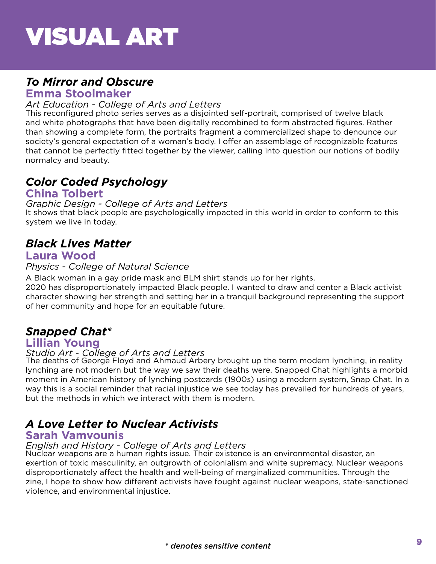## *To Mirror and Obscure*

## **Emma Stoolmaker**

#### *Art Education - College of Arts and Letters*

This reconfigured photo series serves as a disjointed self-portrait, comprised of twelve black and white photographs that have been digitally recombined to form abstracted figures. Rather than showing a complete form, the portraits fragment a commercialized shape to denounce our society's general expectation of a woman's body. I offer an assemblage of recognizable features that cannot be perfectly fitted together by the viewer, calling into question our notions of bodily normalcy and beauty.

## *Color Coded Psychology*

### **China Tolbert**

#### *Graphic Design - College of Arts and Letters*

It shows that black people are psychologically impacted in this world in order to conform to this system we live in today.

## *Black Lives Matter*

## **Laura Wood**

#### *Physics - College of Natural Science*

A Black woman in a gay pride mask and BLM shirt stands up for her rights.

2020 has disproportionately impacted Black people. I wanted to draw and center a Black activist character showing her strength and setting her in a tranquil background representing the support of her community and hope for an equitable future.

## *Snapped Chat\**

### **Lillian Young**

#### *Studio Art - College of Arts and Letters*

The deaths of George Floyd and Ahmaud Arbery brought up the term modern lynching, in reality lynching are not modern but the way we saw their deaths were. Snapped Chat highlights a morbid moment in American history of lynching postcards (1900s) using a modern system, Snap Chat. In a way this is a social reminder that racial injustice we see today has prevailed for hundreds of years, but the methods in which we interact with them is modern.

## *A Love Letter to Nuclear Activists*

### **Sarah Vamvounis**

#### *English and History - College of Arts and Letters*

Nuclear weapons are a human rights issue. Their existence is an environmental disaster, an exertion of toxic masculinity, an outgrowth of colonialism and white supremacy. Nuclear weapons disproportionately affect the health and well-being of marginalized communities. Through the zine, I hope to show how different activists have fought against nuclear weapons, state-sanctioned violence, and environmental injustice.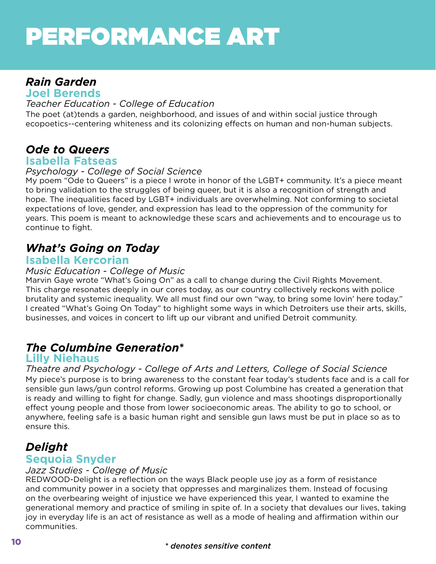# <span id="page-11-0"></span>PERFORMANCE ART

## *Rain Garden*

**Joel Berends**

#### *Teacher Education - College of Education*

The poet (at)tends a garden, neighborhood, and issues of and within social justice through ecopoetics--centering whiteness and its colonizing effects on human and non-human subjects.

## *Ode to Queers*

### **Isabella Fatseas**

#### *Psychology - College of Social Science*

My poem "Ode to Queers" is a piece I wrote in honor of the LGBT+ community. It's a piece meant to bring validation to the struggles of being queer, but it is also a recognition of strength and hope. The inequalities faced by LGBT+ individuals are overwhelming. Not conforming to societal expectations of love, gender, and expression has lead to the oppression of the community for years. This poem is meant to acknowledge these scars and achievements and to encourage us to continue to fight.

## *What's Going on Today*

### **Isabella Kercorian**

#### *Music Education - College of Music*

Marvin Gaye wrote "What's Going On" as a call to change during the Civil Rights Movement. This charge resonates deeply in our cores today, as our country collectively reckons with police brutality and systemic inequality. We all must find our own "way, to bring some lovin' here today." I created "What's Going On Today" to highlight some ways in which Detroiters use their arts, skills, businesses, and voices in concert to lift up our vibrant and unified Detroit community.

## *The Columbine Generation\**

### **Lilly Niehaus**

My piece's purpose is to bring awareness to the constant fear today's students face and is a call for sensible gun laws/gun control reforms. Growing up post Columbine has created a generation that is ready and willing to fight for change. Sadly, gun violence and mass shootings disproportionally effect young people and those from lower socioeconomic areas. The ability to go to school, or anywhere, feeling safe is a basic human right and sensible gun laws must be put in place so as to ensure this. *Theatre and Psychology - College of Arts and Letters, College of Social Science*

## *Delight*

## **Sequoia Snyder**

#### *Jazz Studies - College of Music*

REDWOOD-Delight is a reflection on the ways Black people use joy as a form of resistance and community power in a society that oppresses and marginalizes them. Instead of focusing on the overbearing weight of injustice we have experienced this year, I wanted to examine the generational memory and practice of smiling in spite of. In a society that devalues our lives, taking joy in everyday life is an act of resistance as well as a mode of healing and affirmation within our communities.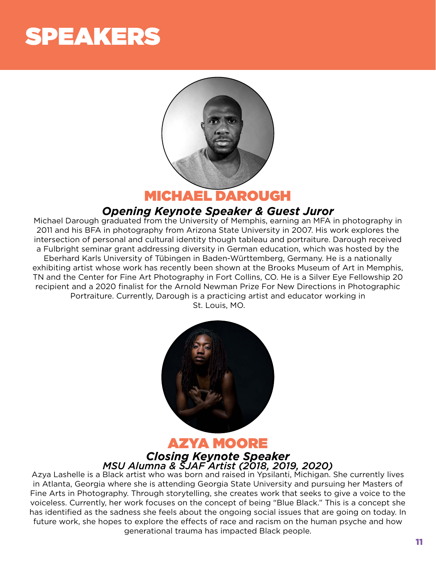# <span id="page-12-0"></span>SPEAKERS



MICHAEL DAROUGH

## *Opening Keynote Speaker & Guest Juror*

Michael Darough graduated from the University of Memphis, earning an MFA in photography in 2011 and his BFA in photography from Arizona State University in 2007. His work explores the intersection of personal and cultural identity though tableau and portraiture. Darough received a Fulbright seminar grant addressing diversity in German education, which was hosted by the Eberhard Karls University of Tübingen in Baden-Württemberg, Germany. He is a nationally exhibiting artist whose work has recently been shown at the Brooks Museum of Art in Memphis, TN and the Center for Fine Art Photography in Fort Collins, CO. He is a Silver Eye Fellowship 20 recipient and a 2020 finalist for the Arnold Newman Prize For New Directions in Photographic Portraiture. Currently, Darough is a practicing artist and educator working in St. Louis, MO.



## AZYA MOORE *Closing Keynote Speaker MSU Alumna & SJAF Artist (2018, 2019, 2020)*

Azya Lashelle is a Black artist who was born and raised in Ypsilanti, Michigan. She currently lives in Atlanta, Georgia where she is attending Georgia State University and pursuing her Masters of Fine Arts in Photography. Through storytelling, she creates work that seeks to give a voice to the voiceless. Currently, her work focuses on the concept of being "Blue Black." This is a concept she has identified as the sadness she feels about the ongoing social issues that are going on today. In future work, she hopes to explore the effects of race and racism on the human psyche and how generational trauma has impacted Black people.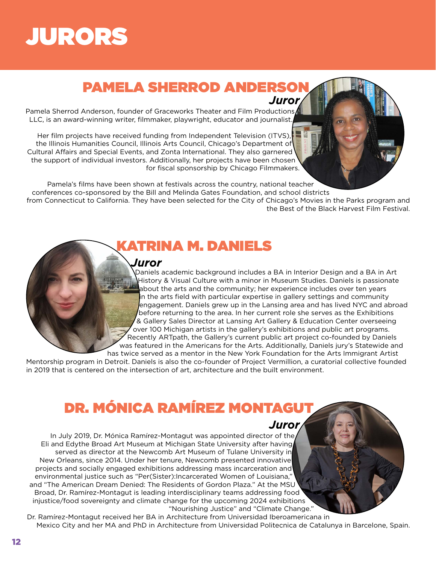# <span id="page-13-0"></span>JURORS

## **PAMELA SHERROD ANDERSO** *Juror*

Pamela Sherrod Anderson, founder of Graceworks Theater and Film Productions LLC, is an award-winning writer, filmmaker, playwright, educator and journalist.

Her film projects have received funding from Independent Television (ITVS), the Illinois Humanities Council, Illinois Arts Council, Chicago's Department of Cultural Affairs and Special Events, and Zonta International. They also garnered the support of individual investors. Additionally, her projects have been chosen for fiscal sponsorship by Chicago Filmmakers.

Pamela's films have been shown at festivals across the country, national teacher conferences co-sponsored by the Bill and Melinda Gates Foundation, and school districts from Connecticut to California. They have been selected for the City of Chicago's Movies in the Parks program and the Best of the Black Harvest Film Festival.

ATRINA M. DANIELS

#### *Juror*

Daniels academic background includes a BA in Interior Design and a BA in Art History & Visual Culture with a minor in Museum Studies. Daniels is passionate about the arts and the community; her experience includes over ten years in the arts field with particular expertise in gallery settings and community engagement. Daniels grew up in the Lansing area and has lived NYC and abroad before returning to the area. In her current role she serves as the Exhibitions & Gallery Sales Director at Lansing Art Gallery & Education Center overseeing over 100 Michigan artists in the gallery's exhibitions and public art programs. Recently ARTpath, the Gallery's current public art project co-founded by Daniels was featured in the Americans for the Arts. Additionally, Daniels jury's Statewide and

has twice served as a mentor in the New York Foundation for the Arts Immigrant Artist Mentorship program in Detroit. Daniels is also the co-founder of Project Vermillion, a curatorial collective founded in 2019 that is centered on the intersection of art, architecture and the built environment.

## DR. MÓNICA RAMÍREZ MONTAGUT

*Juror*

In July 2019, Dr. Mónica Ramírez-Montagut was appointed director of the Eli and Edythe Broad Art Museum at Michigan State University after having served as director at the Newcomb Art Museum of Tulane University in New Orleans, since 2014. Under her tenure, Newcomb presented innovative projects and socially engaged exhibitions addressing mass incarceration and environmental justice such as "Per(Sister):Incarcerated Women of Louisiana," and "The American Dream Denied: The Residents of Gordon Plaza." At the MSU Broad, Dr. Ramírez-Montagut is leading interdisciplinary teams addressing food injustice/food sovereignty and climate change for the upcoming 2024 exhibitions "Nourishing Justice" and "Climate Change."

Dr. Ramírez-Montagut received her BA in Architecture from Universidad Iberoamericana in Mexico City and her MA and PhD in Architecture from Universidad Politecnica de Catalunya in Barcelone, Spain.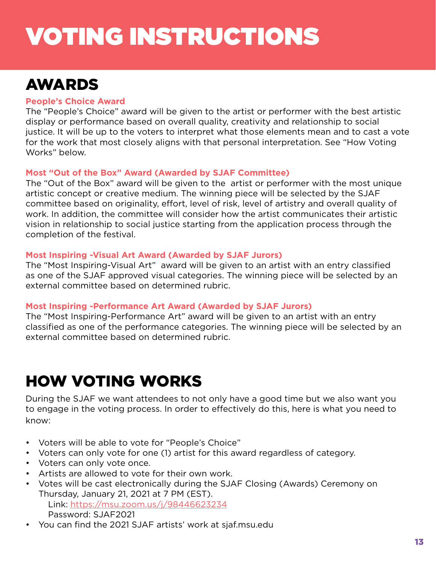# <span id="page-14-0"></span>VOTING INSTRUCTIONS

## AWARDS

#### **People's Choice Award**

The "People's Choice" award will be given to the artist or performer with the best artistic display or performance based on overall quality, creativity and relationship to social justice. It will be up to the voters to interpret what those elements mean and to cast a vote for the work that most closely aligns with that personal interpretation. See "How Voting Works" below.

#### **Most "Out of the Box" Award (Awarded by SJAF Committee)**

The "Out of the Box" award will be given to the artist or performer with the most unique artistic concept or creative medium. The winning piece will be selected by the SJAF committee based on originality, effort, level of risk, level of artistry and overall quality of work. In addition, the committee will consider how the artist communicates their artistic vision in relationship to social justice starting from the application process through the completion of the festival.

#### **Most Inspiring -Visual Art Award (Awarded by SJAF Jurors)**

The "Most Inspiring-Visual Art" award will be given to an artist with an entry classified as one of the SJAF approved visual categories. The winning piece will be selected by an external committee based on determined rubric.

#### **Most Inspiring -Performance Art Award (Awarded by SJAF Jurors)**

The "Most Inspiring-Performance Art" award will be given to an artist with an entry classified as one of the performance categories. The winning piece will be selected by an external committee based on determined rubric.

## HOW VOTING WORKS

During the SJAF we want attendees to not only have a good time but we also want you to engage in the voting process. In order to effectively do this, here is what you need to know:

- Voters will be able to vote for "People's Choice"
- Voters can only vote for one (1) artist for this award regardless of category.
- Voters can only vote once.
- Artists are allowed to vote for their own work.
- Votes will be cast electronically during the SJAF Closing (Awards) Ceremony on Thursday, January 21, 2021 at 7 PM (EST). Link: <https://msu.zoom.us/j/98446623234>

Password: SJAF2021

• You can find the 2021 SJAF artists' work at sjaf.msu.edu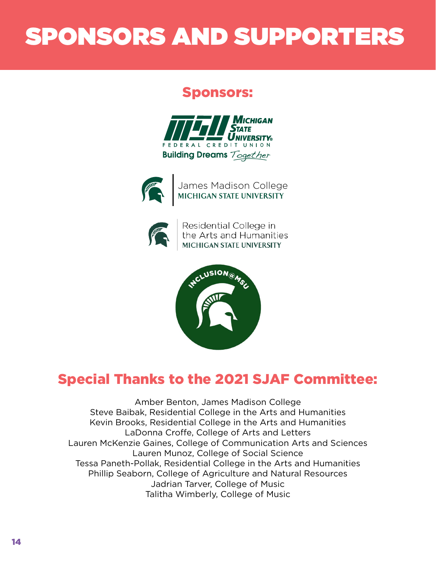# <span id="page-15-0"></span>SPONSORS AND SUPPORTERS

## Sponsors:





James Madison College<br>MICHIGAN STATE UNIVERSITY



Residential College in<br>the Arts and Humanities<br>MICHIGAN STATE UNIVERSITY



## Special Thanks to the 2021 SJAF Committee:

Amber Benton, James Madison College Steve Baibak, Residential College in the Arts and Humanities Kevin Brooks, Residential College in the Arts and Humanities LaDonna Croffe, College of Arts and Letters Lauren McKenzie Gaines, College of Communication Arts and Sciences Lauren Munoz, College of Social Science Tessa Paneth-Pollak, Residential College in the Arts and Humanities Phillip Seaborn, College of Agriculture and Natural Resources Jadrian Tarver, College of Music Talitha Wimberly, College of Music